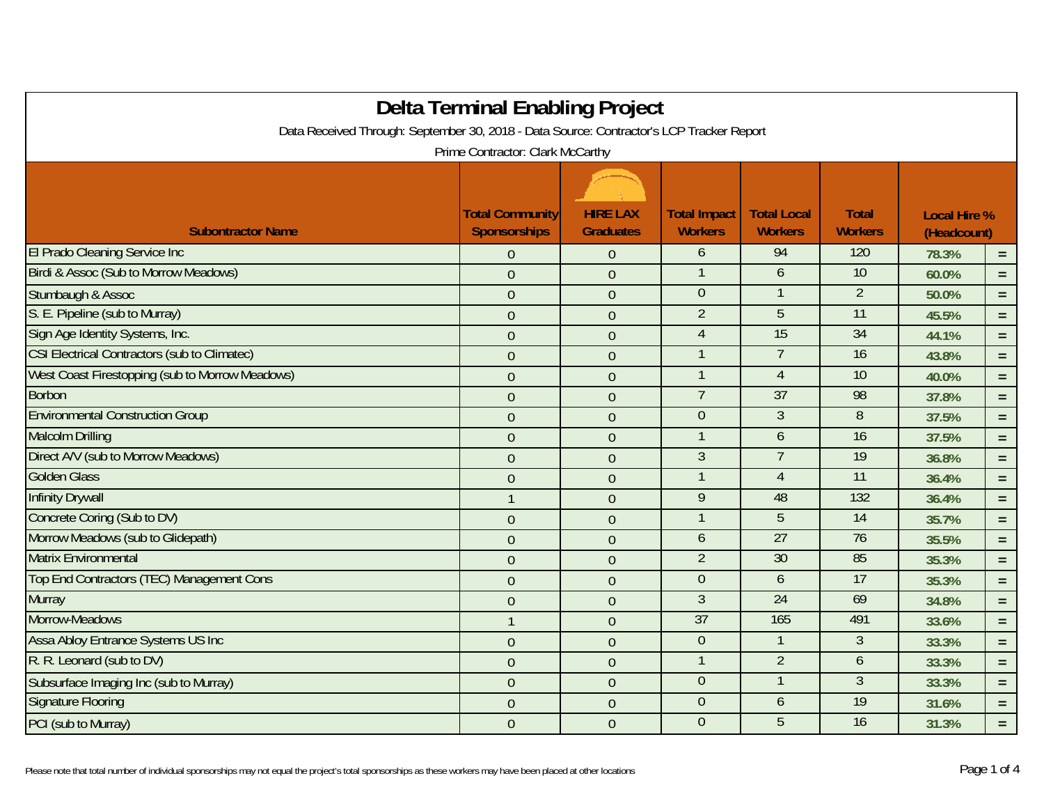| <b>Delta Terminal Enabling Project</b><br>Data Received Through: September 30, 2018 - Data Source: Contractor's LCP Tracker Report |                                               |                                     |                                       |                                      |                                |                                    |          |
|------------------------------------------------------------------------------------------------------------------------------------|-----------------------------------------------|-------------------------------------|---------------------------------------|--------------------------------------|--------------------------------|------------------------------------|----------|
| Prime Contractor: Clark McCarthy                                                                                                   |                                               |                                     |                                       |                                      |                                |                                    |          |
|                                                                                                                                    |                                               |                                     |                                       |                                      |                                |                                    |          |
| <b>Subontractor Name</b>                                                                                                           | <b>Total Community</b><br><b>Sponsorships</b> | <b>HIRE LAX</b><br><b>Graduates</b> | <b>Total Impact</b><br><b>Workers</b> | <b>Total Local</b><br><b>Workers</b> | <b>Total</b><br><b>Workers</b> | <b>Local Hire %</b><br>(Headcount) |          |
| El Prado Cleaning Service Inc                                                                                                      | $\overline{0}$                                | $\overline{0}$                      | 6                                     | 94                                   | 120                            | 78.3%                              | $=$      |
| Birdi & Assoc (Sub to Morrow Meadows)                                                                                              | $\overline{0}$                                | $\mathbf{0}$                        |                                       | 6                                    | 10                             | 60.0%                              | $=$      |
| Stumbaugh & Assoc                                                                                                                  | $\overline{0}$                                | $\overline{0}$                      | $\overline{0}$                        |                                      | $\overline{2}$                 | 50.0%                              | $\equiv$ |
| S. E. Pipeline (sub to Murray)                                                                                                     | $\theta$                                      | $\overline{0}$                      | $\overline{2}$                        | $\overline{5}$                       | 11                             | 45.5%                              | $\equiv$ |
| Sign Age Identity Systems, Inc.                                                                                                    | $\boldsymbol{0}$                              | $\boldsymbol{0}$                    | $\overline{4}$                        | $\overline{15}$                      | $\overline{34}$                | 44.1%                              | $\equiv$ |
| <b>CSI Electrical Contractors (sub to Climatec)</b>                                                                                | $\overline{0}$                                | $\mathbf{0}$                        |                                       | $\overline{7}$                       | 16                             | 43.8%                              | $=$      |
| West Coast Firestopping (sub to Morrow Meadows)                                                                                    | $\theta$                                      | $\boldsymbol{0}$                    |                                       | $\overline{4}$                       | 10                             | 40.0%                              | $\equiv$ |
| <b>Borbon</b>                                                                                                                      | $\overline{0}$                                | $\mathbf{0}$                        |                                       | $\overline{37}$                      | 98                             | 37.8%                              | $\equiv$ |
| <b>Environmental Construction Group</b>                                                                                            | $\overline{0}$                                | $\boldsymbol{0}$                    | $\overline{0}$                        | $\overline{3}$                       | $\overline{8}$                 | 37.5%                              | $\equiv$ |
| <b>Malcolm Drilling</b>                                                                                                            | $\theta$                                      | $\boldsymbol{0}$                    |                                       | 6                                    | 16                             | 37.5%                              | $\equiv$ |
| Direct A/V (sub to Morrow Meadows)                                                                                                 | $\theta$                                      | $\overline{0}$                      | $\mathfrak{Z}$                        | $\overline{7}$                       | $\overline{19}$                | 36.8%                              | $=$      |
| <b>Golden Glass</b>                                                                                                                | $\theta$                                      | $\overline{0}$                      |                                       | $\overline{4}$                       | $\overline{11}$                | 36.4%                              | $\equiv$ |
| <b>Infinity Drywall</b>                                                                                                            | 1                                             | $\mathbf{0}$                        | 9                                     | 48                                   | 132                            | 36.4%                              | $=$      |
| Concrete Coring (Sub to DV)                                                                                                        | $\theta$                                      | $\overline{0}$                      |                                       | 5                                    | $\overline{14}$                | 35.7%                              | $\equiv$ |
| Morrow Meadows (sub to Glidepath)                                                                                                  | $\theta$                                      | $\boldsymbol{0}$                    | 6                                     | 27                                   | 76                             | 35.5%                              | $\equiv$ |
| <b>Matrix Environmental</b>                                                                                                        | $\boldsymbol{0}$                              | $\boldsymbol{0}$                    | $\overline{2}$                        | $\overline{30}$                      | 85                             | 35.3%                              | $=$      |
| Top End Contractors (TEC) Management Cons                                                                                          | $\overline{0}$                                | $\mathbf{0}$                        | $\overline{0}$                        | 6                                    | 17                             | 35.3%                              | $\equiv$ |
| <b>Murray</b>                                                                                                                      | $\overline{0}$                                | $\overline{0}$                      | $\overline{3}$                        | 24                                   | 69                             | 34.8%                              | $\equiv$ |
| Morrow-Meadows                                                                                                                     |                                               | $\mathbf{0}$                        | 37                                    | 165                                  | 491                            | 33.6%                              | $\equiv$ |
| <b>Assa Abloy Entrance Systems US Inc.</b>                                                                                         | $\overline{0}$                                | $\overline{0}$                      | $\overline{0}$                        |                                      | 3                              | 33.3%                              | $\equiv$ |
| R. R. Leonard (sub to DV)                                                                                                          | $\theta$                                      | $\mathbf 0$                         |                                       | $\overline{2}$                       | 6                              | 33.3%                              | $=$ $\,$ |
| Subsurface Imaging Inc (sub to Murray)                                                                                             | $\theta$                                      | $\overline{0}$                      | $\overline{0}$                        |                                      | 3                              | 33.3%                              | $=$      |
| <b>Signature Flooring</b>                                                                                                          | $\theta$                                      | $\mathbf 0$                         | $\overline{0}$                        | 6                                    | 19                             | 31.6%                              | $\equiv$ |
| PCI (sub to Murray)                                                                                                                | $\theta$                                      | $\overline{0}$                      | $\overline{0}$                        | 5                                    | 16                             | 31.3%                              | $=$ .    |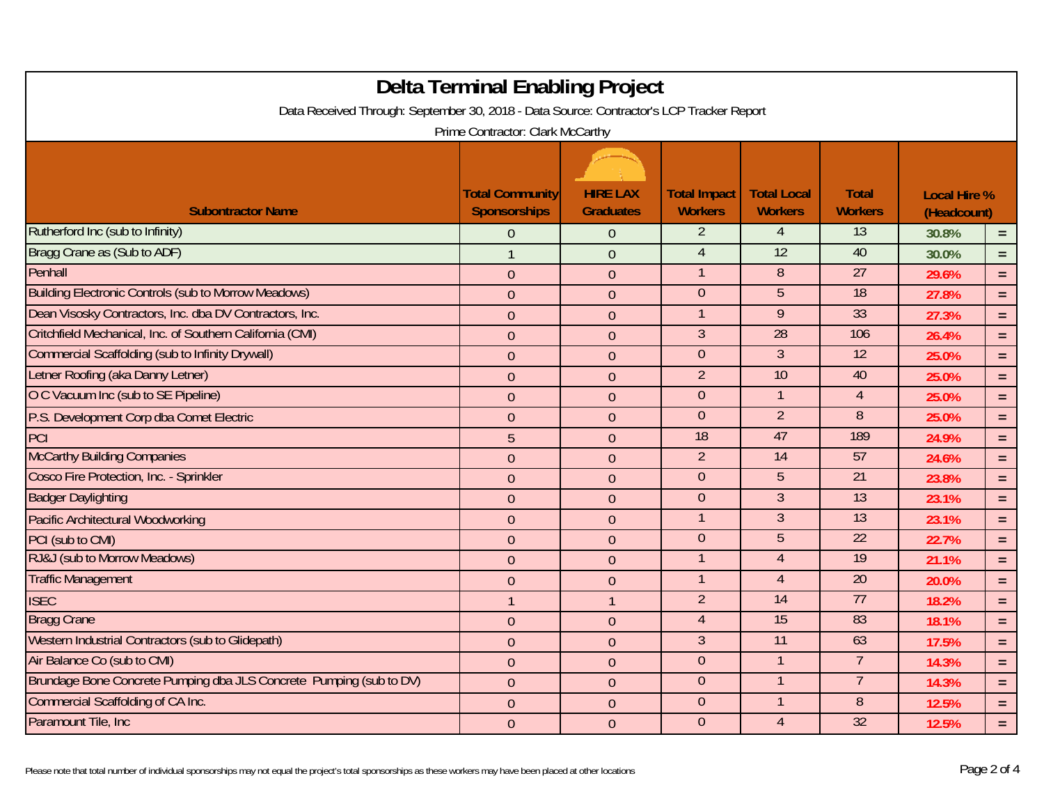| <b>Delta Terminal Enabling Project</b><br>Data Received Through: September 30, 2018 - Data Source: Contractor's LCP Tracker Report<br>Prime Contractor: Clark McCarthy |                                               |                                     |                                       |                                      |                                |                                    |          |
|------------------------------------------------------------------------------------------------------------------------------------------------------------------------|-----------------------------------------------|-------------------------------------|---------------------------------------|--------------------------------------|--------------------------------|------------------------------------|----------|
| <b>Subontractor Name</b>                                                                                                                                               | <b>Total Community</b><br><b>Sponsorships</b> | <b>HIRE LAX</b><br><b>Graduates</b> | <b>Total Impact</b><br><b>Workers</b> | <b>Total Local</b><br><b>Workers</b> | <b>Total</b><br><b>Workers</b> | <b>Local Hire %</b><br>(Headcount) |          |
| Rutherford Inc (sub to Infinity)                                                                                                                                       | $\mathbf{0}$                                  | $\theta$                            | $\overline{2}$                        | 4                                    | 13                             | 30.8%                              | $=$ .    |
| Bragg Crane as (Sub to ADF)                                                                                                                                            | $\mathbf{1}$                                  | $\theta$                            | $\overline{4}$                        | 12                                   | 40                             | 30.0%                              | $=$      |
| Penhall                                                                                                                                                                | $\overline{0}$                                | $\mathbf{0}$                        |                                       | $\overline{8}$                       | 27                             | 29.6%                              | $\equiv$ |
| <b>Building Electronic Controls (sub to Morrow Meadows)</b>                                                                                                            | $\mathbf{0}$                                  | $\mathbf{0}$                        | $\overline{0}$                        | 5                                    | $\overline{18}$                | 27.8%                              | $\equiv$ |
| Dean Visosky Contractors, Inc. dba DV Contractors, Inc.                                                                                                                | $\theta$                                      | $\mathbf{0}$                        |                                       | 9                                    | 33                             | 27.3%                              | $\equiv$ |
| Critchfield Mechanical, Inc. of Southern California (CMI)                                                                                                              | $\overline{0}$                                | $\theta$                            | $\overline{3}$                        | $\overline{28}$                      | 106                            | 26.4%                              | $\equiv$ |
| <b>Commercial Scaffolding (sub to Infinity Drywall)</b>                                                                                                                | $\theta$                                      | $\boldsymbol{0}$                    | $\overline{0}$                        | $\overline{3}$                       | $\overline{12}$                | 25.0%                              | $\equiv$ |
| Letner Roofing (aka Danny Letner)                                                                                                                                      | $\boldsymbol{0}$                              | $\boldsymbol{0}$                    | $\overline{2}$                        | 10                                   | 40                             | 25.0%                              | $=$      |
| O C Vacuum Inc (sub to SE Pipeline)                                                                                                                                    | $\overline{0}$                                | $\theta$                            | $\overline{0}$                        |                                      | $\overline{4}$                 | 25.0%                              | $\equiv$ |
| P.S. Development Corp dba Comet Electric                                                                                                                               | $\overline{0}$                                | $\mathbf{0}$                        | $\overline{0}$                        | $\overline{2}$                       | 8                              | 25.0%                              | $\equiv$ |
| PCI                                                                                                                                                                    | 5                                             | $\mathbf{0}$                        | 18                                    | 47                                   | 189                            | 24.9%                              | $=$      |
| <b>McCarthy Building Companies</b>                                                                                                                                     | $\overline{0}$                                | $\overline{0}$                      | $\overline{2}$                        | $\overline{14}$                      | 57                             | 24.6%                              | $\equiv$ |
| Cosco Fire Protection, Inc. - Sprinkler                                                                                                                                | $\theta$                                      | $\theta$                            | $\overline{0}$                        | $5^{\circ}$                          | $\overline{21}$                | 23.8%                              | $\equiv$ |
| <b>Badger Daylighting</b>                                                                                                                                              | $\theta$                                      | $\boldsymbol{0}$                    | $\overline{0}$                        | $\overline{3}$                       | 13                             | 23.1%                              | $\equiv$ |
| <b>Pacific Architectural Woodworking</b>                                                                                                                               | $\boldsymbol{0}$                              | $\boldsymbol{0}$                    |                                       | $\mathfrak{Z}$                       | 13                             | 23.1%                              | $=$      |
| PCI (sub to CMI)                                                                                                                                                       | $\overline{0}$                                | $\overline{0}$                      | $\overline{0}$                        | $\overline{5}$                       | 22                             | 22.7%                              | $\equiv$ |
| RJ&J (sub to Morrow Meadows)                                                                                                                                           | $\theta$                                      | $\mathbf{0}$                        | $\mathbf 1$                           | $\overline{4}$                       | 19                             | 21.1%                              | $\equiv$ |
| <b>Traffic Management</b>                                                                                                                                              | $\theta$                                      | $\theta$                            |                                       | $\overline{4}$                       | 20                             | 20.0%                              | $\equiv$ |
| <b>ISEC</b>                                                                                                                                                            | $\mathbf{1}$                                  | $\mathbf{1}$                        | $\overline{2}$                        | $\overline{14}$                      | 77                             | 18.2%                              | $\equiv$ |
| <b>Bragg Crane</b>                                                                                                                                                     | $\theta$                                      | $\theta$                            | $\overline{4}$                        | 15                                   | 83                             | 18.1%                              | $\equiv$ |
| Western Industrial Contractors (sub to Glidepath)                                                                                                                      | $\boldsymbol{0}$                              | $\boldsymbol{0}$                    | $\mathfrak{Z}$                        | $\overline{11}$                      | 63                             | 17.5%                              | $\equiv$ |
| Air Balance Co (sub to CMI)                                                                                                                                            | $\theta$                                      | $\theta$                            | $\overline{0}$                        |                                      | $\overline{7}$                 | 14.3%                              | $=$      |
| Brundage Bone Concrete Pumping dba JLS Concrete Pumping (sub to DV)                                                                                                    | $\overline{0}$                                | $\theta$                            | $\overline{0}$                        |                                      |                                | 14.3%                              | $\equiv$ |
| <b>Commercial Scaffolding of CA Inc.</b>                                                                                                                               | $\overline{0}$                                | $\theta$                            | $\overline{0}$                        |                                      | 8                              | 12.5%                              | $\equiv$ |
| Paramount Tile, Inc.                                                                                                                                                   | $\overline{0}$                                | $\overline{0}$                      | $\overline{0}$                        | $\overline{4}$                       | 32                             | 12.5%                              | $\equiv$ |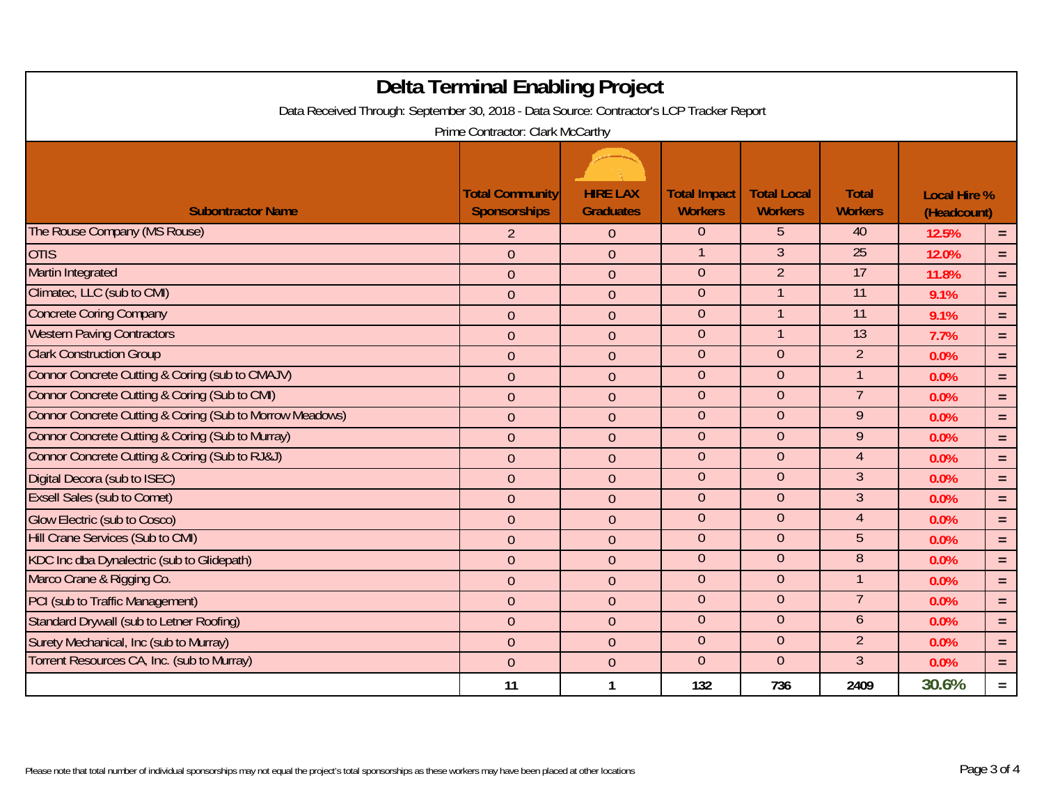|                                                                                          | Delta Terminal Enabling Project        |                                     |                                       |                                      |                                |                                    |          |  |
|------------------------------------------------------------------------------------------|----------------------------------------|-------------------------------------|---------------------------------------|--------------------------------------|--------------------------------|------------------------------------|----------|--|
| Data Received Through: September 30, 2018 - Data Source: Contractor's LCP Tracker Report |                                        |                                     |                                       |                                      |                                |                                    |          |  |
| Prime Contractor: Clark McCarthy                                                         |                                        |                                     |                                       |                                      |                                |                                    |          |  |
| <b>Subontractor Name</b>                                                                 | <b>Total Community</b><br>Sponsorships | <b>HIRE LAX</b><br><b>Graduates</b> | <b>Total Impact</b><br><b>Workers</b> | <b>Total Local</b><br><b>Workers</b> | <b>Total</b><br><b>Workers</b> | <b>Local Hire %</b><br>(Headcount) |          |  |
| The Rouse Company (MS Rouse)                                                             | $\overline{2}$                         | $\overline{0}$                      | $\overline{0}$                        | 5                                    | 40                             | 12.5%                              | $=$      |  |
| <b>OTIS</b>                                                                              | $\overline{0}$                         | $\boldsymbol{0}$                    |                                       | $\overline{3}$                       | 25                             | 12.0%                              | $=$      |  |
| <b>Martin Integrated</b>                                                                 | $\theta$                               | $\overline{0}$                      | $\overline{0}$                        | $\overline{2}$                       | 17                             | 11.8%                              | $=$      |  |
| Climatec, LLC (sub to CMI)                                                               | $\theta$                               | $\overline{0}$                      | $\overline{0}$                        | $\mathbf{1}$                         | 11                             | 9.1%                               | $\equiv$ |  |
| <b>Concrete Coring Company</b>                                                           | $\theta$                               | $\theta$                            | $\overline{0}$                        |                                      | $\overline{11}$                | 9.1%                               | $=$      |  |
| <b>Western Paving Contractors</b>                                                        | $\overline{0}$                         | $\theta$                            | $\overline{0}$                        | $\mathbf{1}$                         | $\overline{13}$                | 7.7%                               | $=$      |  |
| <b>Clark Construction Group</b>                                                          | $\theta$                               | $\boldsymbol{0}$                    | $\overline{0}$                        | $\overline{0}$                       | $\overline{2}$                 | 0.0%                               | $=$      |  |
| Connor Concrete Cutting & Coring (sub to CMAJV)                                          | $\overline{0}$                         | $\overline{0}$                      | $\overline{0}$                        | $\overline{0}$                       | 1                              | 0.0%                               | $=$      |  |
| Connor Concrete Cutting & Coring (Sub to CMI)                                            | $\theta$                               | $\theta$                            | $\overline{0}$                        | $\overline{0}$                       | $\overline{7}$                 | 0.0%                               | $=$      |  |
| Connor Concrete Cutting & Coring (Sub to Morrow Meadows)                                 | $\theta$                               | $\overline{0}$                      | $\Omega$                              | $\Omega$                             | 9                              | 0.0%                               | $=$      |  |
| Connor Concrete Cutting & Coring (Sub to Murray)                                         | $\theta$                               | $\theta$                            | $\overline{0}$                        | $\overline{0}$                       | $\overline{9}$                 | 0.0%                               | $=$      |  |
| Connor Concrete Cutting & Coring (Sub to RJ&J)                                           | $\theta$                               | $\boldsymbol{0}$                    | $\overline{0}$                        | $\overline{0}$                       | $\overline{4}$                 | 0.0%                               | $\equiv$ |  |
| Digital Decora (sub to ISEC)                                                             | $\overline{0}$                         | $\overline{0}$                      | $\overline{0}$                        | $\overline{0}$                       | 3 <sup>1</sup>                 | 0.0%                               | $=$      |  |
| <b>Exsell Sales (sub to Comet)</b>                                                       | $\theta$                               | $\theta$                            | $\overline{0}$                        | $\overline{0}$                       | $\mathfrak{Z}$                 | 0.0%                               | $\equiv$ |  |
| <b>Glow Electric (sub to Cosco)</b>                                                      | $\theta$                               | $\theta$                            | $\overline{0}$                        | $\overline{0}$                       | $\overline{4}$                 | 0.0%                               | $=$      |  |
| Hill Crane Services (Sub to CMI)                                                         | $\overline{0}$                         | $\theta$                            | $\overline{0}$                        | $\overline{0}$                       | 5                              | 0.0%                               | $=$      |  |
| KDC Inc dba Dynalectric (sub to Glidepath)                                               | $\boldsymbol{0}$                       | $\boldsymbol{0}$                    | $\overline{0}$                        | $\overline{0}$                       | 8                              | 0.0%                               | $=$      |  |
| Marco Crane & Rigging Co.                                                                | $\overline{0}$                         | $\theta$                            | $\overline{0}$                        | $\overline{0}$                       |                                | 0.0%                               | $=$      |  |
| PCI (sub to Traffic Management)                                                          | $\theta$                               | $\theta$                            | $\overline{0}$                        | $\overline{0}$                       | $\overline{7}$                 | 0.0%                               | $=$      |  |
| Standard Drywall (sub to Letner Roofing)                                                 | $\overline{0}$                         | $\overline{0}$                      | $\overline{0}$                        | $\overline{0}$                       | 6                              | 0.0%                               | $=$      |  |
| Surety Mechanical, Inc (sub to Murray)                                                   | $\theta$                               | $\boldsymbol{0}$                    | $\overline{0}$                        | $\overline{0}$                       | $\overline{2}$                 | 0.0%                               | $=$      |  |
| Torrent Resources CA, Inc. (sub to Murray)                                               | $\theta$                               | $\theta$                            | $\overline{0}$                        | $\overline{0}$                       | 3 <sup>1</sup>                 | 0.0%                               | $=$      |  |
|                                                                                          | 11                                     | $\mathbf{1}$                        | 132                                   | 736                                  | 2409                           | 30.6%                              | $=$      |  |